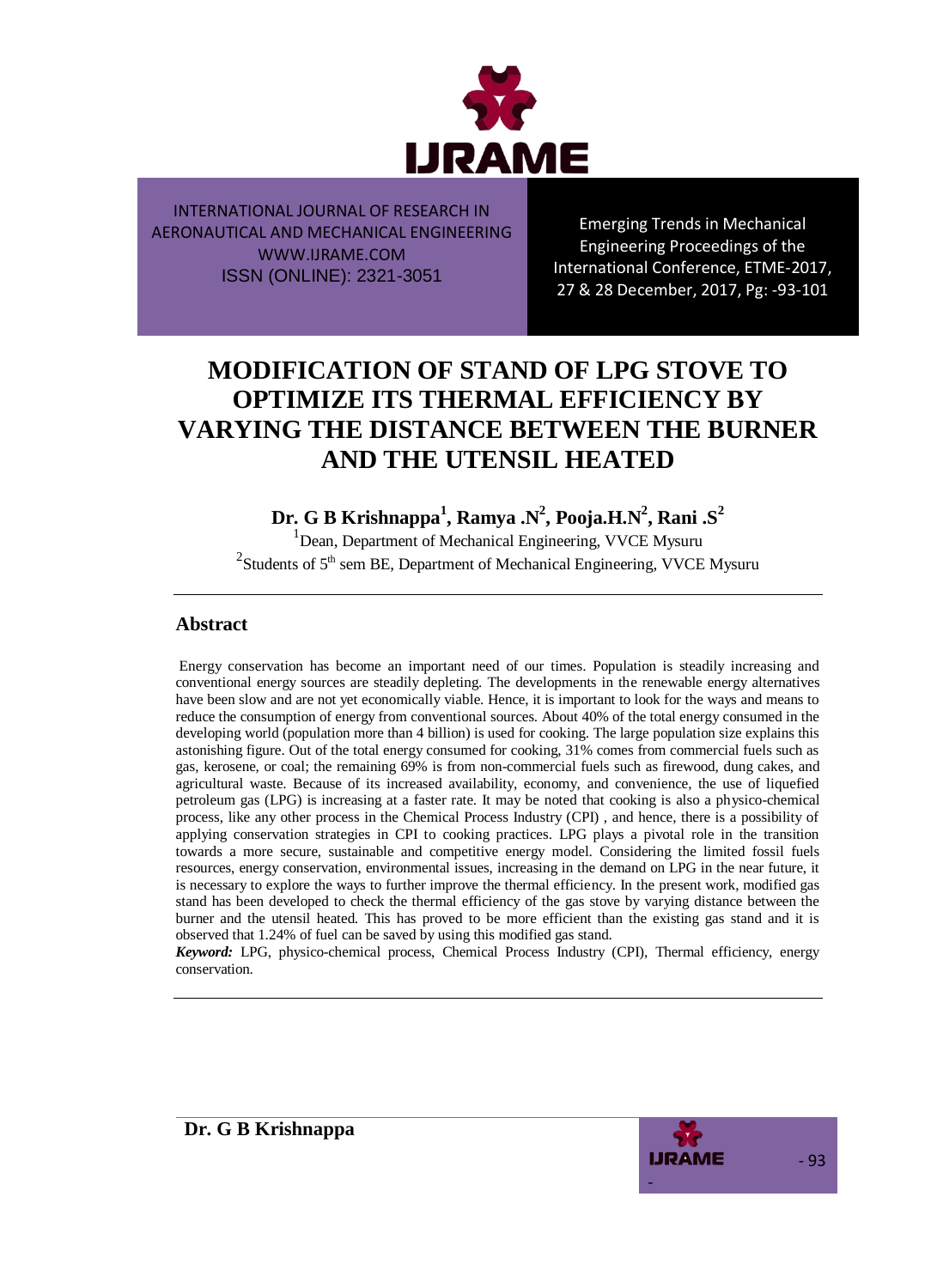

Emerging Trends in Mechanical Engineering Proceedings of the International Conference, ETME-2017, 27 & 28 December, 2017, Pg: -93-101

# **MODIFICATION OF STAND OF LPG STOVE TO OPTIMIZE ITS THERMAL EFFICIENCY BY VARYING THE DISTANCE BETWEEN THE BURNER AND THE UTENSIL HEATED**

**Dr. G B Krishnappa<sup>1</sup> , Ramya .N<sup>2</sup> , Pooja.H.N<sup>2</sup> , Rani .S<sup>2</sup>**

<sup>1</sup> Dean, Department of Mechanical Engineering, VVCE Mysuru <sup>2</sup> Students of  $5<sup>th</sup>$  sem BE, Department of Mechanical Engineering, VVCE Mysuru

## **Abstract**

Energy conservation has become an important need of our times. Population is steadily increasing and conventional energy sources are steadily depleting. The developments in the renewable energy alternatives have been slow and are not yet economically viable. Hence, it is important to look for the ways and means to reduce the consumption of energy from conventional sources. About 40% of the total energy consumed in the developing world (population more than 4 billion) is used for cooking. The large population size explains this astonishing figure. Out of the total energy consumed for cooking, 31% comes from commercial fuels such as gas, kerosene, or coal; the remaining 69% is from non-commercial fuels such as firewood, dung cakes, and agricultural waste. Because of its increased availability, economy, and convenience, the use of liquefied petroleum gas (LPG) is increasing at a faster rate. It may be noted that cooking is also a physico-chemical process, like any other process in the Chemical Process Industry (CPI) , and hence, there is a possibility of applying conservation strategies in CPI to cooking practices. LPG plays a pivotal role in the transition towards a more secure, sustainable and competitive energy model. Considering the limited fossil fuels resources, energy conservation, environmental issues, increasing in the demand on LPG in the near future, it is necessary to explore the ways to further improve the thermal efficiency. In the present work, modified gas stand has been developed to check the thermal efficiency of the gas stove by varying distance between the burner and the utensil heated. This has proved to be more efficient than the existing gas stand and it is observed that 1.24% of fuel can be saved by using this modified gas stand.

*Keyword:* LPG, physico-chemical process, Chemical Process Industry (CPI), Thermal efficiency, energy conservation.



**Dr. G B Krishnappa**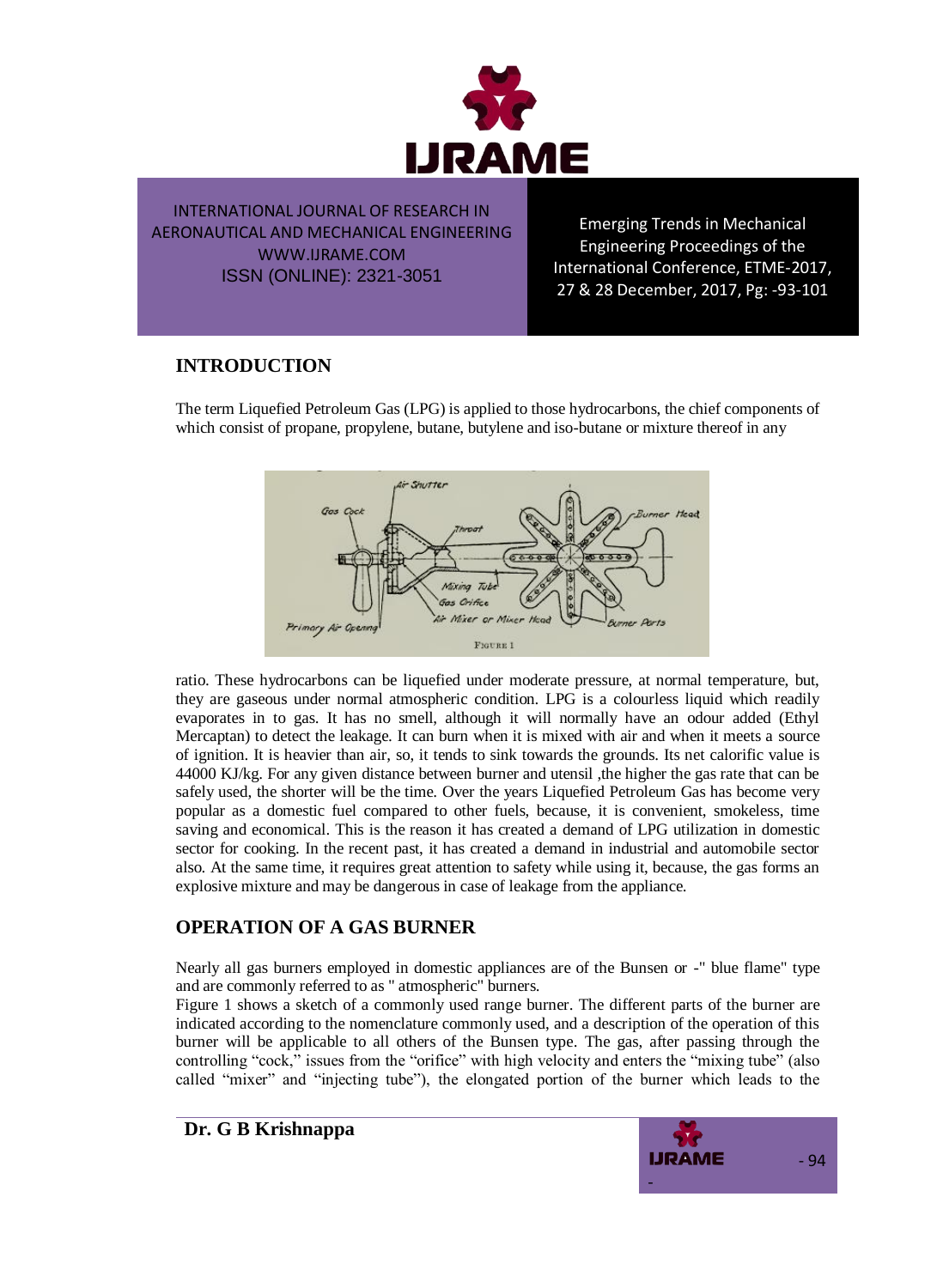

Emerging Trends in Mechanical Engineering Proceedings of the International Conference, ETME-2017, 27 & 28 December, 2017, Pg: -93-101

## **INTRODUCTION**

The term Liquefied Petroleum Gas (LPG) is applied to those hydrocarbons, the chief components of which consist of propane, propylene, butane, butylene and iso-butane or mixture thereof in any



ratio. These hydrocarbons can be liquefied under moderate pressure, at normal temperature, but, they are gaseous under normal atmospheric condition. LPG is a colourless liquid which readily evaporates in to gas. It has no smell, although it will normally have an odour added (Ethyl Mercaptan) to detect the leakage. It can burn when it is mixed with air and when it meets a source of ignition. It is heavier than air, so, it tends to sink towards the grounds. Its net calorific value is 44000 KJ/kg. For any given distance between burner and utensil ,the higher the gas rate that can be safely used, the shorter will be the time. Over the years Liquefied Petroleum Gas has become very popular as a domestic fuel compared to other fuels, because, it is convenient, smokeless, time saving and economical. This is the reason it has created a demand of LPG utilization in domestic sector for cooking. In the recent past, it has created a demand in industrial and automobile sector also. At the same time, it requires great attention to safety while using it, because, the gas forms an explosive mixture and may be dangerous in case of leakage from the appliance.

## **OPERATION OF A GAS BURNER**

Nearly all gas burners employed in domestic appliances are of the Bunsen or -" blue flame" type and are commonly referred to as " atmospheric" burners.

Figure 1 shows a sketch of a commonly used range burner. The different parts of the burner are indicated according to the nomenclature commonly used, and a description of the operation of this burner will be applicable to all others of the Bunsen type. The gas, after passing through the controlling "cock," issues from the "orifice" with high velocity and enters the "mixing tube" (also called "mixer" and "injecting tube"), the elongated portion of the burner which leads to the

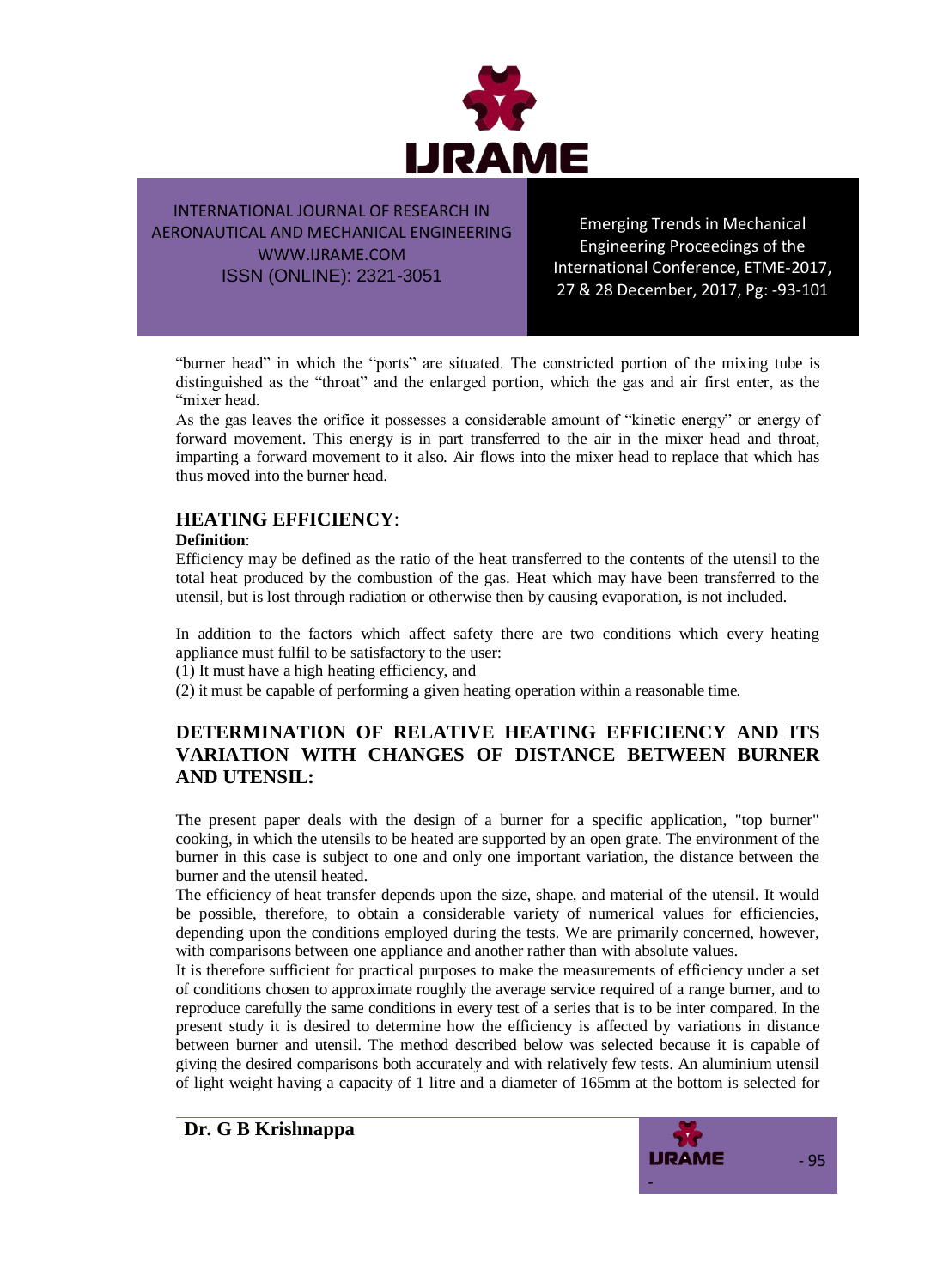

Emerging Trends in Mechanical Engineering Proceedings of the International Conference, ETME-2017, 27 & 28 December, 2017, Pg: -93-101

"burner head" in which the "ports" are situated. The constricted portion of the mixing tube is distinguished as the "throat" and the enlarged portion, which the gas and air first enter, as the "mixer head.

As the gas leaves the orifice it possesses a considerable amount of "kinetic energy" or energy of forward movement. This energy is in part transferred to the air in the mixer head and throat, imparting a forward movement to it also. Air flows into the mixer head to replace that which has thus moved into the burner head.

## **HEATING EFFICIENCY**:

#### **Definition**:

Efficiency may be defined as the ratio of the heat transferred to the contents of the utensil to the total heat produced by the combustion of the gas. Heat which may have been transferred to the utensil, but is lost through radiation or otherwise then by causing evaporation, is not included.

In addition to the factors which affect safety there are two conditions which every heating appliance must fulfil to be satisfactory to the user:

(1) It must have a high heating efficiency, and

(2) it must be capable of performing a given heating operation within a reasonable time.

## **DETERMINATION OF RELATIVE HEATING EFFICIENCY AND ITS VARIATION WITH CHANGES OF DISTANCE BETWEEN BURNER AND UTENSIL:**

The present paper deals with the design of a burner for a specific application, "top burner" cooking, in which the utensils to be heated are supported by an open grate. The environment of the burner in this case is subject to one and only one important variation, the distance between the burner and the utensil heated.

The efficiency of heat transfer depends upon the size, shape, and material of the utensil. It would be possible, therefore, to obtain a considerable variety of numerical values for efficiencies, depending upon the conditions employed during the tests. We are primarily concerned, however, with comparisons between one appliance and another rather than with absolute values.

It is therefore sufficient for practical purposes to make the measurements of efficiency under a set of conditions chosen to approximate roughly the average service required of a range burner, and to reproduce carefully the same conditions in every test of a series that is to be inter compared. In the present study it is desired to determine how the efficiency is affected by variations in distance between burner and utensil. The method described below was selected because it is capable of giving the desired comparisons both accurately and with relatively few tests. An aluminium utensil of light weight having a capacity of 1 litre and a diameter of 165mm at the bottom is selected for

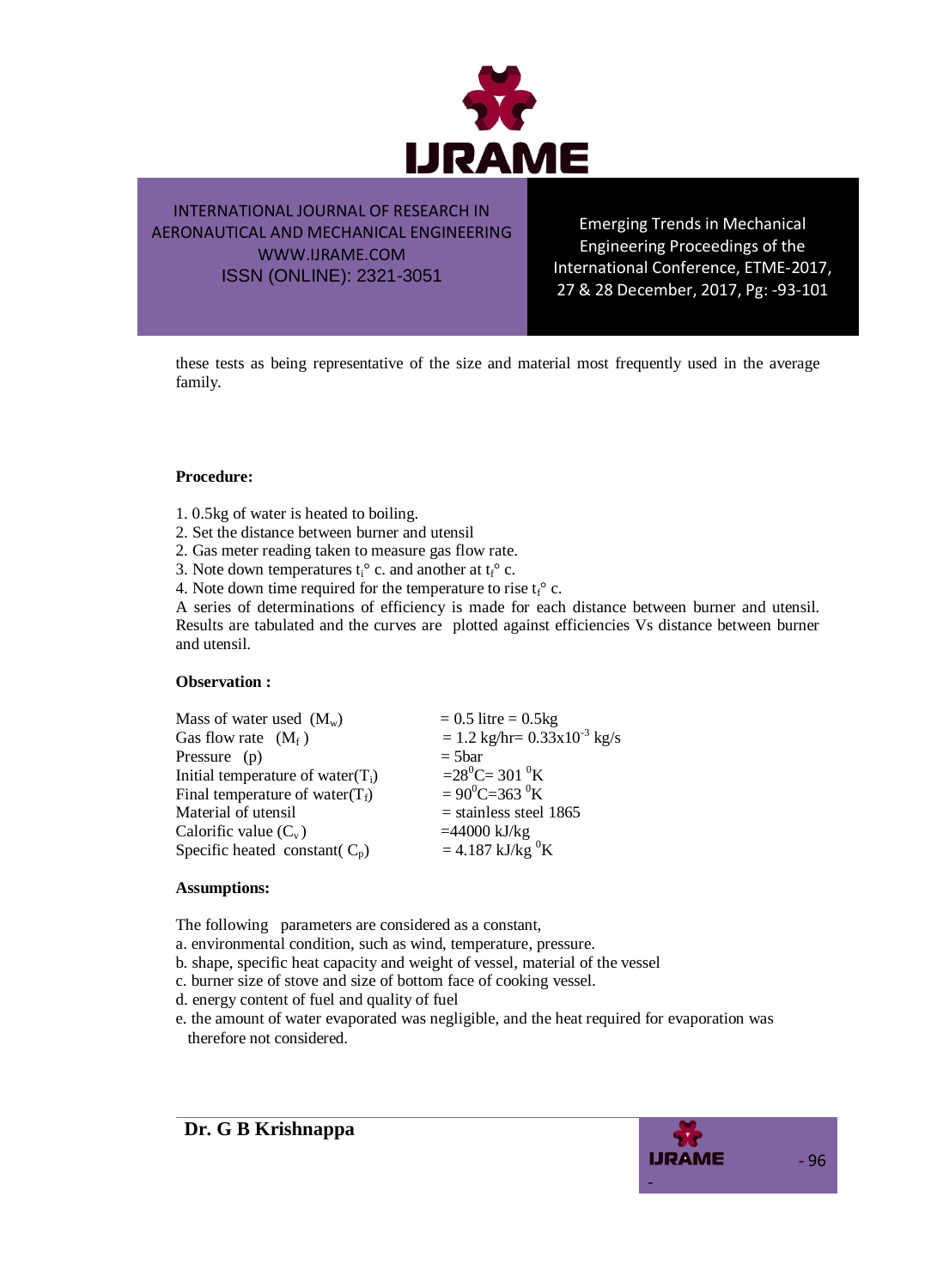

Emerging Trends in Mechanical Engineering Proceedings of the International Conference, ETME-2017, 27 & 28 December, 2017, Pg: -93-101

these tests as being representative of the size and material most frequently used in the average family.

#### **Procedure:**

- 1. 0.5kg of water is heated to boiling.
- 2. Set the distance between burner and utensil
- 2. Gas meter reading taken to measure gas flow rate.
- 3. Note down temperatures  $t_i^{\circ}$  c. and another at  $t_f^{\circ}$  c.
- 4. Note down time required for the temperature to rise  $t_f^{\circ}$  c.

A series of determinations of efficiency is made for each distance between burner and utensil. Results are tabulated and the curves are plotted against efficiencies Vs distance between burner and utensil.

#### **Observation :**

| $= 0.5$ litre = 0.5kg                                    |
|----------------------------------------------------------|
| $= 1.2 \text{ kg/hr} = 0.33 \times 10^{-3} \text{ kg/s}$ |
| $=$ 5bar                                                 |
| $=28^{\circ}$ C= 301 $^{\circ}$ K                        |
| $= 90^0C = 363^0K$                                       |
| $=$ stainless steel 1865                                 |
| $=44000$ kJ/kg                                           |
| $= 4.187 \text{ kJ/kg}^{0}$ K                            |
|                                                          |

#### **Assumptions:**

The following parameters are considered as a constant,

- a. environmental condition, such as wind, temperature, pressure.
- b. shape, specific heat capacity and weight of vessel, material of the vessel
- c. burner size of stove and size of bottom face of cooking vessel.
- d. energy content of fuel and quality of fuel
- e. the amount of water evaporated was negligible, and the heat required for evaporation was therefore not considered.

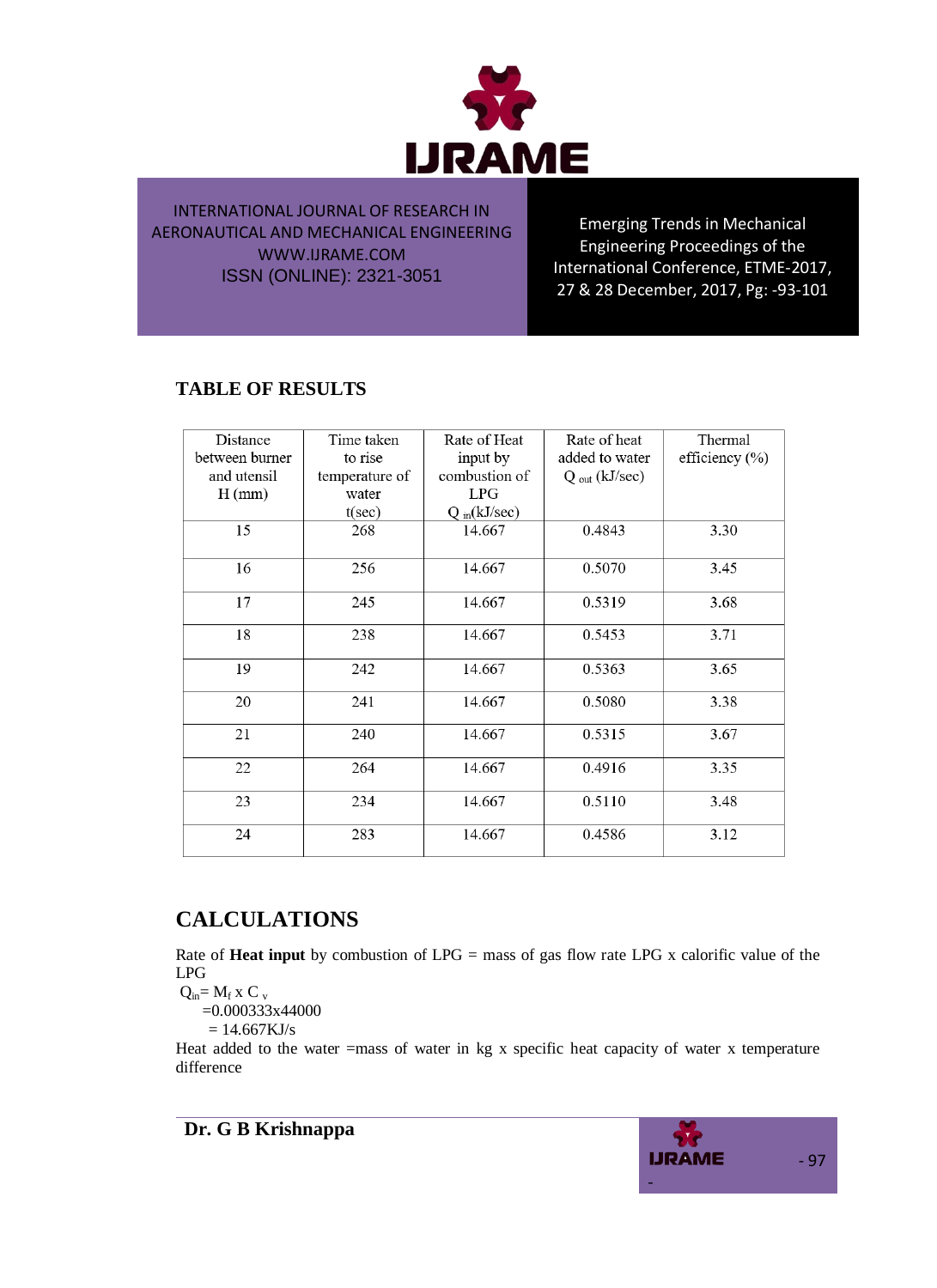

Emerging Trends in Mechanical Engineering Proceedings of the International Conference, ETME-2017, 27 & 28 December, 2017, Pg: -93-101

## **TABLE OF RESULTS**

| Distance<br>between burner | Time taken<br>to rise | Rate of Heat<br>input by | Rate of heat<br>added to water | Thermal<br>efficiency $(\% )$ |
|----------------------------|-----------------------|--------------------------|--------------------------------|-------------------------------|
| and utensil                | temperature of        | combustion of            | $Q_{out}$ (kJ/sec)             |                               |
| $H$ (mm)                   | water                 | LPG                      |                                |                               |
|                            | $t(\sec)$             | $Q_{in}(kJ/sec)$         |                                |                               |
| 15                         | 268                   | 14.667                   | 0.4843                         | 3.30                          |
| 16                         | 256                   | 14.667                   | 0.5070                         | 3.45                          |
| 17                         | 245                   | 14.667                   | 0.5319                         | 3.68                          |
| 18                         | 238                   | 14.667                   | 0.5453                         | 3.71                          |
| 19                         | 242                   | 14.667                   | 0.5363                         | 3.65                          |
| 20                         | 241                   | 14.667                   | 0.5080                         | 3.38                          |
| 21                         | 240                   | 14.667                   | 0.5315                         | 3.67                          |
| 22                         | 264                   | 14.667                   | 0.4916                         | 3.35                          |
| 23                         | 234                   | 14.667                   | 0.5110                         | 3.48                          |
| 24                         | 283                   | 14.667                   | 0.4586                         | 3.12                          |

## **CALCULATIONS**

Rate of **Heat input** by combustion of LPG = mass of gas flow rate LPG x calorific value of the LPG

 $Q_{in} = M_f x C_v$ 

=0.000333x44000

 $= 14.667 KJ/s$ 

Heat added to the water =mass of water in kg x specific heat capacity of water x temperature difference

**Dr. G B Krishnappa**

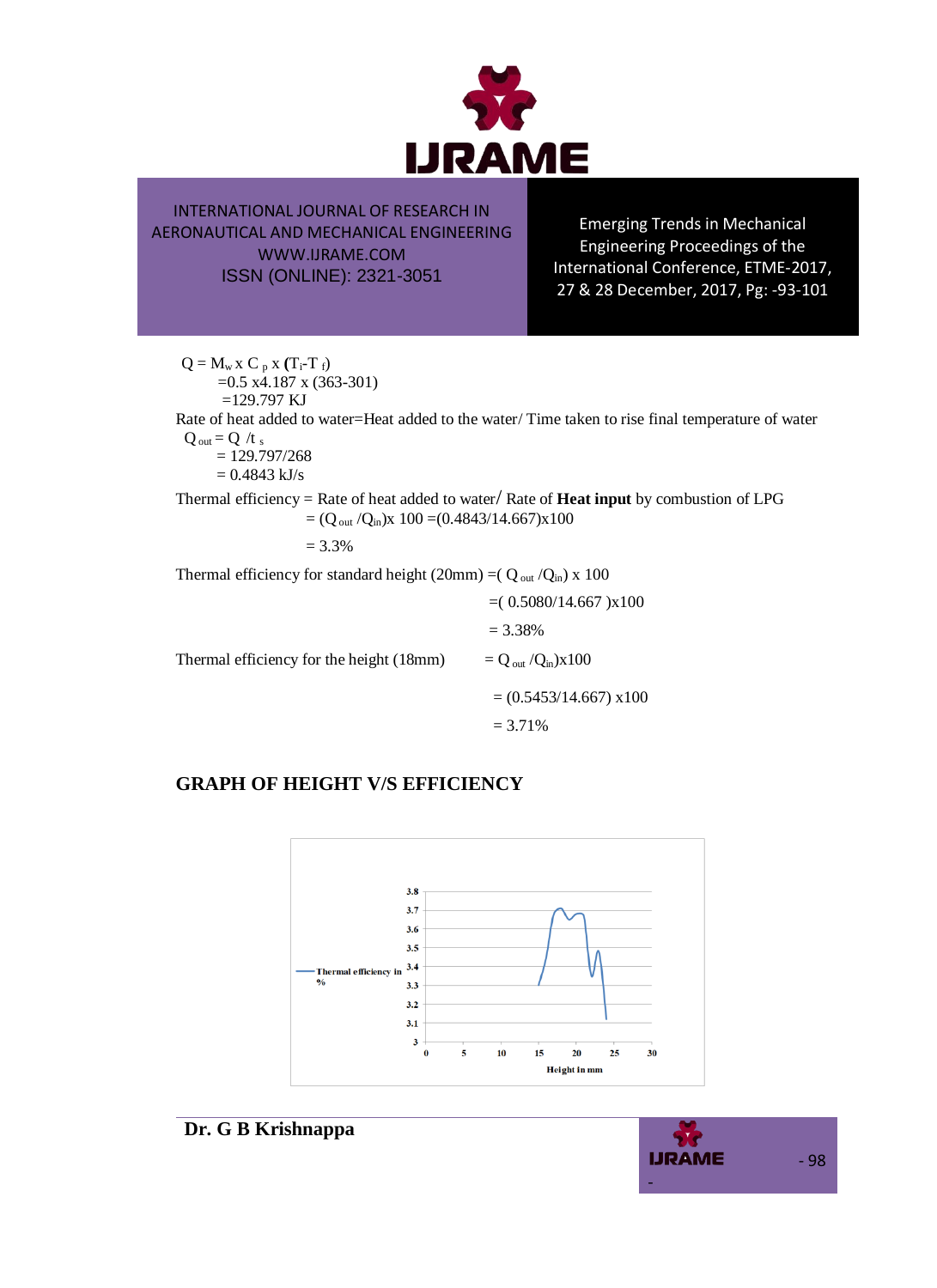

Emerging Trends in Mechanical Engineering Proceedings of the International Conference, ETME-2017, 27 & 28 December, 2017, Pg: -93-101

 $Q = M_w x C_p x (T_i-T_f)$ =0.5 x4.187 x (363-301)  $=129.797$  KJ Rate of heat added to water=Heat added to the water/ Time taken to rise final temperature of water  $Q_{\text{out}} = Q / t_s$  $= 129.797/268$  $= 0.4843$  kJ/s Thermal efficiency = Rate of heat added to water/ Rate of **Heat input** by combustion of LPG  $= (Q_{out}/Q_{in})x$  100 = (0.4843/14.667) $x100$  $= 3.3%$ 

Thermal efficiency for standard height (20mm) =( $Q_{out}/Q_{in}$ ) x 100

|                                          | $= (0.5080/14.667)x100$                    |
|------------------------------------------|--------------------------------------------|
|                                          | $= 3.38\%$                                 |
| Thermal efficiency for the height (18mm) | $= Q_{\text{out}} / Q_{\text{in}} / X 100$ |
|                                          | $= (0.5453/14.667) \times 100$             |
|                                          | $= 3.71\%$                                 |

## **GRAPH OF HEIGHT V/S EFFICIENCY**



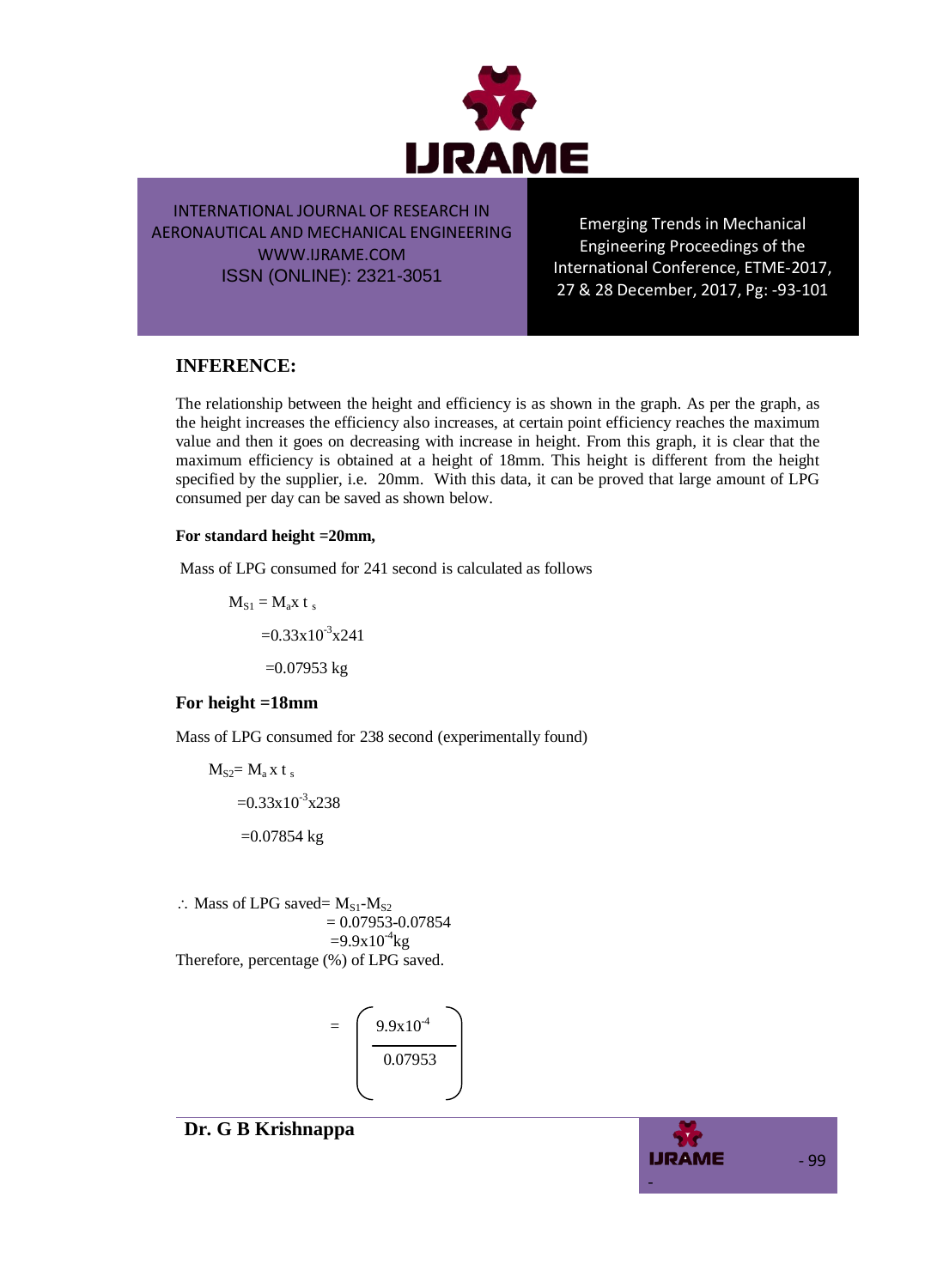

Emerging Trends in Mechanical Engineering Proceedings of the International Conference, ETME-2017, 27 & 28 December, 2017, Pg: -93-101

## **INFERENCE:**

The relationship between the height and efficiency is as shown in the graph. As per the graph, as the height increases the efficiency also increases, at certain point efficiency reaches the maximum value and then it goes on decreasing with increase in height. From this graph, it is clear that the maximum efficiency is obtained at a height of 18mm. This height is different from the height specified by the supplier, i.e. 20mm.With this data, it can be proved that large amount of LPG consumed per day can be saved as shown below.

#### **For standard height =20mm,**

Mass of LPG consumed for 241 second is calculated as follows

 $M_{S1} = M_a x t_s$  $=0.33\times10^{-3}\times241$  $=0.07953$  kg

### **For height =18mm**

Mass of LPG consumed for 238 second (experimentally found)

$$
MS2= Ma x ts
$$
  
=0.33x10<sup>-3</sup>x238  
=0.07854 kg

 $\therefore$  Mass of LPG saved=  $M_{S1}$ - $M_{S2}$  $= 0.07953 - 0.07854$  $=9.9x10^{4}$ kg Therefore, percentage (%) of LPG saved.



## **Dr. G B Krishnappa**

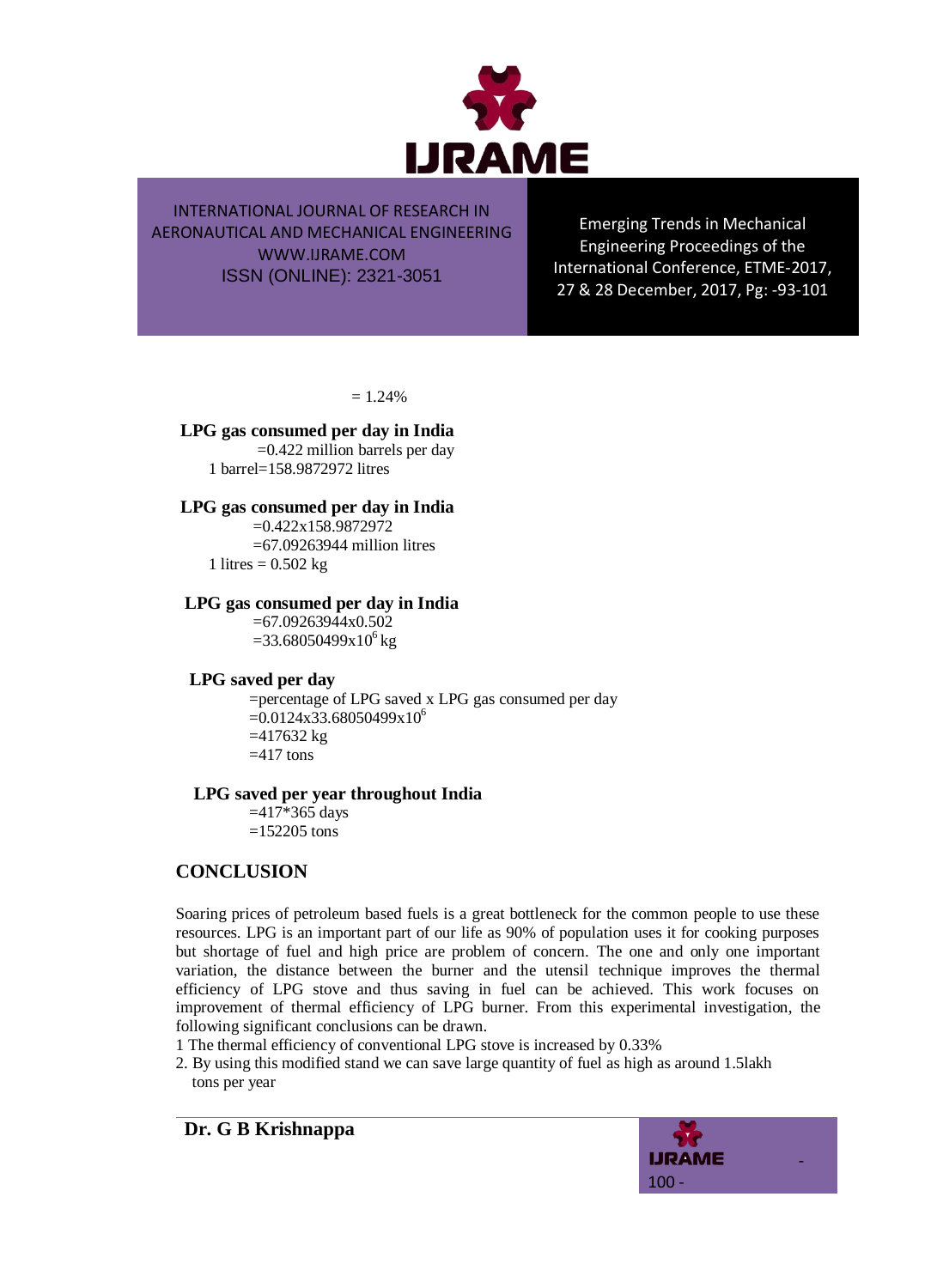

Emerging Trends in Mechanical Engineering Proceedings of the International Conference, ETME-2017, 27 & 28 December, 2017, Pg: -93-101

 $= 1.24%$ 

#### **LPG gas consumed per day in India**

 =0.422 million barrels per day 1 barrel=158.9872972 litres

#### **LPG gas consumed per day in India**

 =0.422x158.9872972 =67.09263944 million litres 1 litres =  $0.502$  kg

#### **LPG gas consumed per day in India**

 $=67.09263944x0.502$  $=33.68050499x10^{6}$  kg

### **LPG saved per day**

 =percentage of LPG saved x LPG gas consumed per day  $=0.0124x33.68050499x10^{6}$  $=417632 \text{ kg}$  $=417$  tons

#### **LPG saved per year throughout India**

 =417\*365 days  $=152205$  tons

## **CONCLUSION**

Soaring prices of petroleum based fuels is a great bottleneck for the common people to use these resources. LPG is an important part of our life as 90% of population uses it for cooking purposes but shortage of fuel and high price are problem of concern. The one and only one important variation, the distance between the burner and the utensil technique improves the thermal efficiency of LPG stove and thus saving in fuel can be achieved. This work focuses on improvement of thermal efficiency of LPG burner. From this experimental investigation, the following significant conclusions can be drawn.

- 1 The thermal efficiency of conventional LPG stove is increased by 0.33%
- 2. By using this modified stand we can save large quantity of fuel as high as around 1.5lakh tons per year